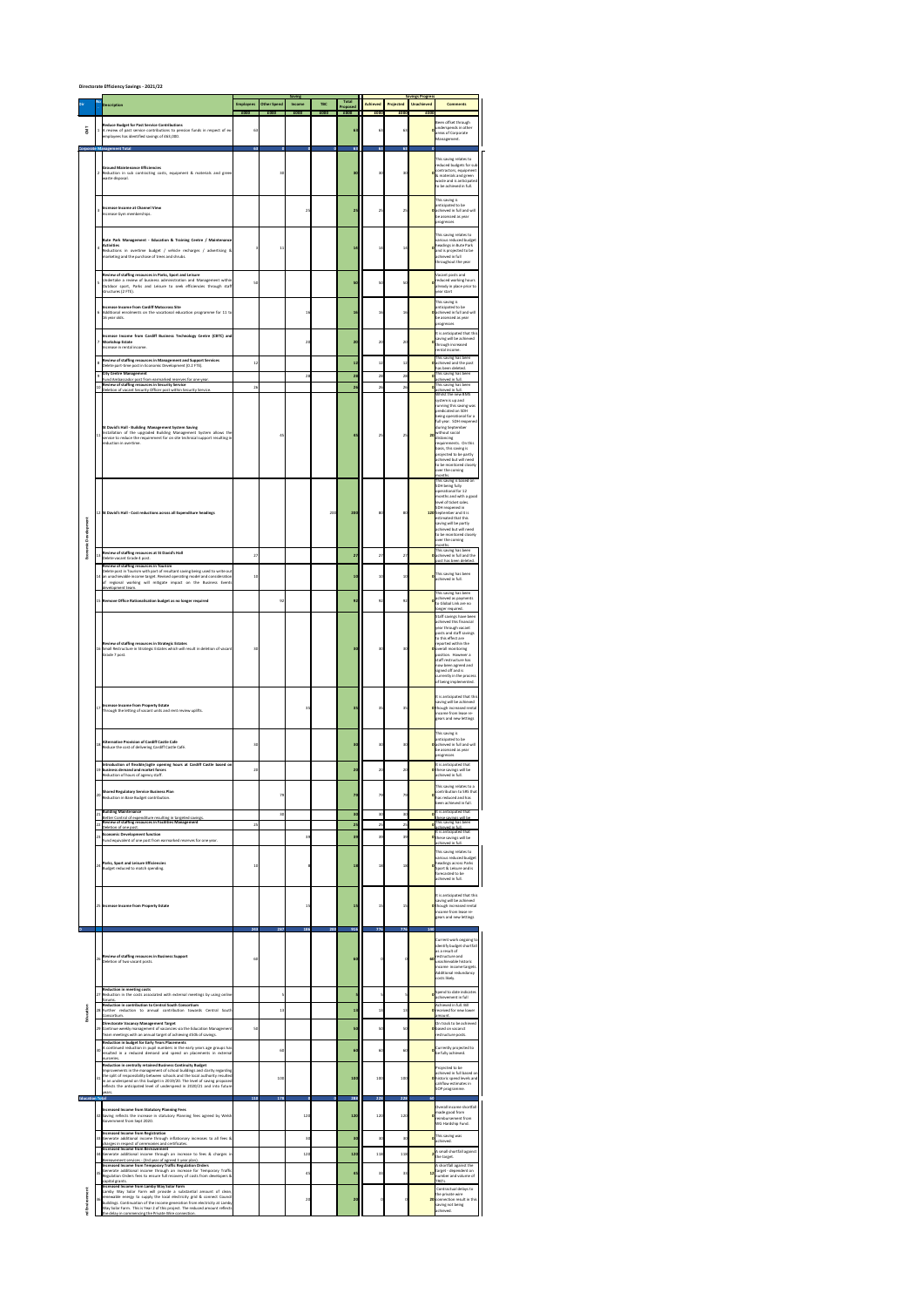## **Directorate Efficiency Savings - 2021/22**

| <b>Dir</b>             | <b>No</b>      | <b>Description</b>                                                                                                                                                                                                                                                                                                                                                            | <b>Employees</b><br>£000 | <b>Other Spend</b><br>£000 | <b>Saving</b><br><b>Income</b><br>£000 | <b>TBC</b><br>£000 | <b>Total</b><br>Proposed<br>£000 | <b>Achieved</b><br>£000 | <b>Projected</b><br>£000 | <b>Savings Progress</b><br><b>Unachieved</b><br>£000 | <b>Comments</b>                                                                                                                                                                                                                                                                                               |
|------------------------|----------------|-------------------------------------------------------------------------------------------------------------------------------------------------------------------------------------------------------------------------------------------------------------------------------------------------------------------------------------------------------------------------------|--------------------------|----------------------------|----------------------------------------|--------------------|----------------------------------|-------------------------|--------------------------|------------------------------------------------------|---------------------------------------------------------------------------------------------------------------------------------------------------------------------------------------------------------------------------------------------------------------------------------------------------------------|
| CMT                    |                | <b>Reduce Budget for Past Service Contributions</b><br>1  A review of past service contributions to pension funds in respect of ex-<br>employees has identified savings of £63,000.                                                                                                                                                                                           | 63                       |                            |                                        |                    | 63                               | 63                      | 63                       |                                                      | Been offset through<br>underspends in other<br>areas of Corporate<br>Management.                                                                                                                                                                                                                              |
|                        |                | <b>Corporate Management Total</b><br><b>Ground Maintenance Efficiencies</b><br>2 Reduction in sub contracting costs, equipment & materials and green<br>waste disposal.                                                                                                                                                                                                       | 63                       | $\overline{0}$<br>30       | $\overline{0}$                         | $\mathbf{0}$       | 63<br>30                         | 63<br>30                | 63<br>30                 | $\mathbf{0}$                                         | This saving relates to<br>reduced budgets for sub-<br>contractors, equipment<br>8 materials and green<br>waste and is anticipated<br>to be achieved in full.                                                                                                                                                  |
|                        | $\overline{3}$ | Increase Income at Channel View<br>Increase Gym memberships.                                                                                                                                                                                                                                                                                                                  |                          |                            | 25                                     |                    | 25                               | 25                      | 25                       |                                                      | This saving is<br>anticipated to be<br><b>O</b> achieved in full and will<br>be assessed as year<br>progresses                                                                                                                                                                                                |
|                        | $\overline{4}$ | Bute Park Management - Education & Training Centre / Maintenance<br><b>Activities</b><br>Reductions in overtime budget / vehicle recharges / advertising &<br>marketing and the purchase of trees and shrubs.                                                                                                                                                                 |                          | 11                         |                                        |                    | 14                               | 14                      | 14                       |                                                      | This saving relates to<br>various reduced budget<br>headings in Bute Park<br>and is projected to be<br>achieved in full<br>throughout the year                                                                                                                                                                |
|                        |                | <b>Review of staffing resources in Parks, Sport and Leisure</b><br>Undertake a review of business administration and Management within<br>Outdoor sport, Parks and Leisure to seek efficiencies through staff<br>structures (2 FTE).                                                                                                                                          | 50                       |                            |                                        |                    | 50                               | 50                      | 50                       |                                                      | Vacant posts and<br>orduced working hours<br>already in place prior to<br>vear start                                                                                                                                                                                                                          |
|                        |                | Increase Income from Cardiff Motocross Site<br>6 Additional enrolments on the vocational education programme for 11 to<br>16 year olds.                                                                                                                                                                                                                                       |                          |                            | 16                                     |                    | 16                               | 16                      | 16                       |                                                      | This saving is<br>anticipated to be<br><b>O</b> achieved in full and will<br>be assessed as year<br>progresses<br>It is anticipated that this                                                                                                                                                                 |
|                        |                | Increase Income from Cardiff Business Technology Centre (CBTC) and<br><b>Workshop Estate</b><br>Increase in rental income.                                                                                                                                                                                                                                                    |                          |                            | 20                                     |                    | <b>20</b>                        | 20                      | 20                       |                                                      | saving will be achieved<br>through increased<br>rental income.<br>This saving has been                                                                                                                                                                                                                        |
|                        | 8              | <b>Review of staffing resources in Management and Support Services</b><br>Delete part-time post in Economic Development (0.2 FTE).<br>$\begin{array}{c c} \hline \end{array}$ City Centre Management                                                                                                                                                                          | 12                       |                            | 28                                     |                    | <b>12</b><br>28                  | 12<br>28                | 12<br>28                 |                                                      | <b>O</b> achieved and the post<br>has been deleted.<br>o This saving has been                                                                                                                                                                                                                                 |
|                        |                | Fund Ambassador post from earmarked reserves for one year.<br>$\vert$ 10 Review of staffing resources in Security Service<br>Deletion of vacant Security Officer post within Security Service.                                                                                                                                                                                | 26                       |                            |                                        |                    | 26                               | 26                      | 26                       |                                                      | achieved in full.<br>This saving has been<br>achieved in full.<br>Whilst the new BMS<br>system is up and<br>running this saving was<br>predicated on SDH<br>being operational for a<br>full year. SDH reopened                                                                                                |
|                        |                | St David's Hall - Building Management System Saving<br>Installation of the upgraded Building Management System allows the<br>service to reduce the requirement for on site technical support resulting in<br>reduction in overtime.                                                                                                                                           |                          | 45                         |                                        |                    | 45                               | 25                      | 25                       | 20                                                   | during September<br>without social<br>distancing<br>requirements. On this<br>basis, this saving is<br>projected to be partly<br>achieved but will need<br>to be monitored closely<br>over the coming<br>months.<br>This saving is based on<br>SDH being fully<br>operational for 12<br>months and with a good |
|                        |                | 12 St David's Hall - Cost reductions across all Expenditure headings                                                                                                                                                                                                                                                                                                          |                          |                            |                                        | 200                | 200                              | 80                      | 80                       |                                                      | level of ticket sales.<br>SDH reopened in<br><b>120</b> September and it is<br>estimated that this<br>saving will be partly<br>achieved but will need<br>to be monitored closely<br>over the coming<br>months.                                                                                                |
| မို့                   |                | $\left  \frac{13}{13} \right $ Review of staffing resources at St David's Hall<br>Delete vacant Grade 4 post.<br><b>Review of staffing resources in Tourism</b>                                                                                                                                                                                                               | 27                       |                            |                                        |                    | 27                               | 27                      | 27                       |                                                      | This saving has been<br><b>O</b> achieved in full and the<br>post has been deleted.                                                                                                                                                                                                                           |
|                        |                | Delete post in Tourism with part of resultant saving being used to write out<br>14 an unachievable income target. Revised operating model and consideration<br>of regional working will mitigate impact on the Business Events<br>development team.<br>15 Remove Office Rationalisation budget as no longer required                                                          | 10                       | 92                         |                                        |                    | <b>10</b><br>92                  | 10<br>92                | 10<br>92                 |                                                      | This saving has been<br>achieved in full.<br>This saving has been<br>achieved as payments                                                                                                                                                                                                                     |
|                        |                |                                                                                                                                                                                                                                                                                                                                                                               |                          |                            |                                        |                    |                                  |                         |                          |                                                      | to Global Link are no<br>longer required.<br>Staff savings have been<br>achieved this financial<br>year through vacant<br>posts and staff savings<br>to this effect are                                                                                                                                       |
|                        |                | <b>Review of staffing resources in Strategic Estates</b><br>16 Small Restructure in Strategic Estates which will result in deletion of vacant<br>Grade 7 post.                                                                                                                                                                                                                | 30                       |                            |                                        |                    | 30                               | 30                      | 30                       |                                                      | reported within the<br><b>O</b> overall monitoring<br>position. However a<br>staff restructure has<br>now been agreed and<br>signed off and is<br>currently in the process<br>of being implemented.                                                                                                           |
|                        |                | $\left  \frac{1}{17} \right $ Increase Income from Property Estate<br>Through the letting of vacant units and rent review uplifts.                                                                                                                                                                                                                                            |                          |                            | 35                                     |                    | 35                               | 35                      | 35                       |                                                      | It is anticipated that this<br>saving will be achieved<br><b>O</b> though increased rental<br>income from lease re-<br>gears and new lettings<br>This saving is                                                                                                                                               |
|                        |                | $\vert$ 18 Alternative Provision of Cardiff Castle Cafe<br>Reduce the cost of delivering Cardiff Castle Café.                                                                                                                                                                                                                                                                 | 30                       |                            |                                        |                    | 30                               | 30                      | 30                       |                                                      | anticipated to be<br><b>O</b> achieved in full and will<br>be assessed as year<br>progresses                                                                                                                                                                                                                  |
|                        |                | Introduction of flexible/agile opening hours at Cardiff Castle based on<br>19 business demand and market forces<br>Reduction of hours of agency staff.                                                                                                                                                                                                                        | 20                       |                            |                                        |                    | 20                               | 20                      | 20                       |                                                      | It is anticipated that<br><b>O</b> these savings will be<br>achieved in full.                                                                                                                                                                                                                                 |
|                        |                | <b>Shared Regulatory Service Business Plan</b><br>Reduction in Base Budget contribution.                                                                                                                                                                                                                                                                                      |                          | 79                         |                                        |                    | 79                               | 79                      | 79                       | $\overline{0}$                                       | This saving relates to a<br>contribution to SRS that $ $<br>has reduced and has<br>been achieved in full.                                                                                                                                                                                                     |
|                        |                | <b>Building Maintenance</b><br>Better Control of expenditure resulting in targeted savings.<br><b>Review of staffing resources in Facilities Management</b><br>Deletion of one post.                                                                                                                                                                                          | 25                       | 30                         |                                        |                    | 30<br>25                         | 30<br>25                | 30<br>25                 |                                                      | It is anticipated that<br>these savings will be<br>This saving has been<br>achieved in full.                                                                                                                                                                                                                  |
|                        |                | $\left  \frac{1}{23} \right $ Economic Development function<br>Fund equivalent of one post from earmarked reserves for one year.                                                                                                                                                                                                                                              |                          |                            | 39                                     |                    | 39                               | 39                      | 39                       |                                                      | It is anticipated that<br>O these savings will be<br>achieved in full.<br>This saving relates to                                                                                                                                                                                                              |
|                        |                | $\vert$ <sub>24</sub>   Parks, Sport and Leisure Efficiencies<br>Budget reduced to match spending.                                                                                                                                                                                                                                                                            | 10                       |                            |                                        |                    | <b>18</b>                        | 18                      | 18                       |                                                      | various reduced budget<br><b>o</b> headings across Parks<br>Sport & Leisure and is<br>forecasted to be<br>achieved in full.<br>It is anticipated that this                                                                                                                                                    |
| $\overline{O}$         |                | 25 Increase Income from Property Estate                                                                                                                                                                                                                                                                                                                                       | 243                      | 287                        | 15<br>186                              | 200                | 15 <br>916                       | 15<br>776               | 15<br>776                | 140                                                  | saving will be achieved<br><b>O</b> though increased rental<br>income from lease re-<br>gears and new lettings                                                                                                                                                                                                |
|                        | 26             | <b>Review of staffing resources in Business Support</b><br>Deletion of two vacant posts.                                                                                                                                                                                                                                                                                      | 60                       |                            |                                        |                    | 60                               |                         |                          | 60                                                   | Current work ongoing to<br>identify budget shortfall<br>as a result of<br>restructure and<br>unachievable historic<br>income income targets.<br>Additional redundancy<br>costs likely.                                                                                                                        |
|                        |                | <b>Reduction in meeting costs</b><br>[27] Reduction in the costs associated with external meetings by using online<br> forums.                                                                                                                                                                                                                                                |                          |                            |                                        |                    |                                  |                         |                          |                                                      | Spend to date indicates<br>achievement in full                                                                                                                                                                                                                                                                |
|                        |                | <b>Reduction in contribution to Central South Consortium</b><br>28 Further reduction to annual contribution towards Central South<br>Consortium.                                                                                                                                                                                                                              |                          | 13                         |                                        |                    | <b>13</b>                        | 13                      | 13                       |                                                      | Achieved in full. Bill<br><b>O</b> received for new lower<br>amount.                                                                                                                                                                                                                                          |
|                        |                | Directorate Vacancy Management Target<br>29 Continue weekly management of vacancies via the Education Management<br>Team meetings with an annual target of achieving £50k of savings.<br><b>Reduction in budget for Early Years Placements</b>                                                                                                                                | 50                       |                            |                                        |                    | 50                               | 50                      | 50                       |                                                      | On track to be achieved<br><b>O</b> based on vacanct<br>restructure posts.                                                                                                                                                                                                                                    |
|                        |                | $ A$ continued reduction in pupil numbers in the early years age groups has<br>resulted in a reduced demand and spend on placements in external<br>nurseries.<br><b>Reduction in centrally retained Business Continuity Budget</b>                                                                                                                                            |                          | 60                         |                                        |                    | 60                               | 60                      | 60                       |                                                      | Currently projected to<br>be fully achieved.<br>Projected to be                                                                                                                                                                                                                                               |
| <b>Education Total</b> | 31             | Improvements in the management of school buildings and clarity regarding<br>the split of responsibility between schools and the local authority resulted<br>in an underspend on this budget in 2019/20. The level of saving proposed<br>reflects the anticipated level of underspend in 2020/21 and into future<br>years.                                                     | <b>110</b>               | 100<br>178                 | $\overline{0}$                         | $\bf{0}$           | 100<br>288                       | 100<br>228              | 100<br>228               | 60                                                   | achieved in full based on<br><b>O</b> historic spend levels and<br>cahflow estimates in<br>SOP programme.                                                                                                                                                                                                     |
|                        |                | <b>Increased Income from Statutory Planning Fees</b><br> 32 Saving reflects the increase in statutory Planning fees agreed by Welsh<br>Government from Sept 2020.<br>Increased Income from Registration                                                                                                                                                                       |                          |                            | 120                                    |                    | 120                              | 120                     | 120                      |                                                      | Overall income shortfall -<br>made good from<br>reimbursement from<br>WG Hardship Fund.                                                                                                                                                                                                                       |
|                        |                | 33 Generate additional income through inflationary increases to all fees &<br>charges in respect of ceremonies and certificates.<br>Increased Income from Bereavement                                                                                                                                                                                                         |                          |                            | 30 <sup>°</sup>                        |                    | 30                               | 30                      | 30                       |                                                      | This saving was<br>achieved.<br>2 <sup>A</sup> small shortfall against                                                                                                                                                                                                                                        |
|                        | 35             | 34 Generate additional income through an increase to fees & charges in<br>Bereavement services - (3rd year of agreed 3 year plan).<br>Increased Income from Temporary Traffic Regulation Orders<br>Generate additional income through an increase for Temporary Traffic<br>Regulation Orders fees to ensure full recovery of costs from developers &                          |                          |                            | 120<br>45                              |                    | 120<br>45                        | 118<br>33               | 118<br>33                |                                                      | the target.<br>A shortfall against the<br>ltarget - dependent on<br>number and volume of                                                                                                                                                                                                                      |
|                        | 36             | capital grants.<br>Increased Income from Lamby Way Solar Farm<br>Lamby Way Solar Farm will provide a substantial amount of clean,<br>$ $ renewable energy to supply the local electricity grid & connect Council<br>buildings. Continuation of the income generation from electricity at Lamby<br>Way Solar Farm. This is Year 2 of this project. The reduced amount reflects |                          |                            | 20                                     |                    | 20                               | $\Omega$                |                          |                                                      | TRO's.<br>Contractual delays to<br>the private wire<br><b>20</b> connection result in this<br>saving not being<br>achieved.                                                                                                                                                                                   |
|                        |                | the delay in commencing the Private Wire connection.                                                                                                                                                                                                                                                                                                                          |                          |                            |                                        |                    |                                  |                         |                          |                                                      |                                                                                                                                                                                                                                                                                                               |